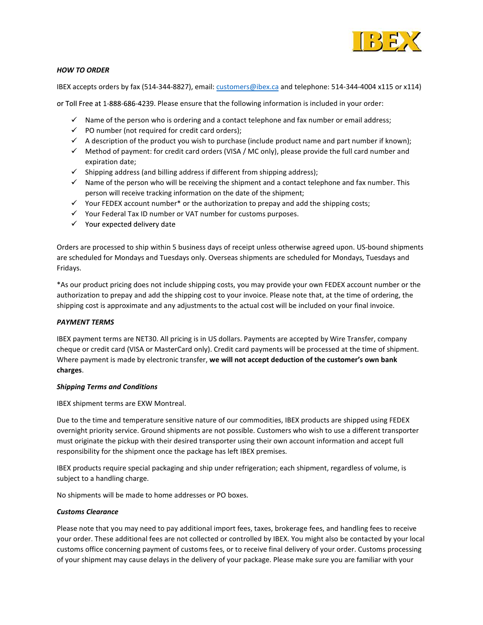

# HOW TO ORDER

IBEX accepts orders by fax (514-344-8827), email: customers@ibex.ca and telephone: 514-344-4004 x115 or x114)

or Toll Free at 1-888-686-4239. Please ensure that the following information is included in your order:

- $\checkmark$  Name of the person who is ordering and a contact telephone and fax number or email address;
- $\checkmark$  PO number (not required for credit card orders);
- $\checkmark$  A description of the product you wish to purchase (include product name and part number if known);
- $\checkmark$  Method of payment: for credit card orders (VISA / MC only), please provide the full card number and expiration date;
- $\checkmark$  Shipping address (and billing address if different from shipping address);
- $\checkmark$  Name of the person who will be receiving the shipment and a contact telephone and fax number. This person will receive tracking information on the date of the shipment;
- $\checkmark$  Your FEDEX account number\* or the authorization to prepay and add the shipping costs;
- $\checkmark$  Your Federal Tax ID number or VAT number for customs purposes.
- $\checkmark$  Your expected delivery date

Orders are processed to ship within 5 business days of receipt unless otherwise agreed upon. US-bound shipments are scheduled for Mondays and Tuesdays only. Overseas shipments are scheduled for Mondays, Tuesdays and Fridays.

\*As our product pricing does not include shipping costs, you may provide your own FEDEX account number or the authorization to prepay and add the shipping cost to your invoice. Please note that, at the time of ordering, the shipping cost is approximate and any adjustments to the actual cost will be included on your final invoice.

### PAYMENT TERMS

IBEX payment terms are NET30. All pricing is in US dollars. Payments are accepted by Wire Transfer, company cheque or credit card (VISA or MasterCard only). Credit card payments will be processed at the time of shipment. Where payment is made by electronic transfer, we will not accept deduction of the customer's own bank charges.

### Shipping Terms and Conditions

IBEX shipment terms are EXW Montreal.

Due to the time and temperature sensitive nature of our commodities, IBEX products are shipped using FEDEX overnight priority service. Ground shipments are not possible. Customers who wish to use a different transporter must originate the pickup with their desired transporter using their own account information and accept full responsibility for the shipment once the package has left IBEX premises.

IBEX products require special packaging and ship under refrigeration; each shipment, regardless of volume, is subject to a handling charge.

No shipments will be made to home addresses or PO boxes.

### Customs Clearance

Please note that you may need to pay additional import fees, taxes, brokerage fees, and handling fees to receive your order. These additional fees are not collected or controlled by IBEX. You might also be contacted by your local customs office concerning payment of customs fees, or to receive final delivery of your order. Customs processing of your shipment may cause delays in the delivery of your package. Please make sure you are familiar with your